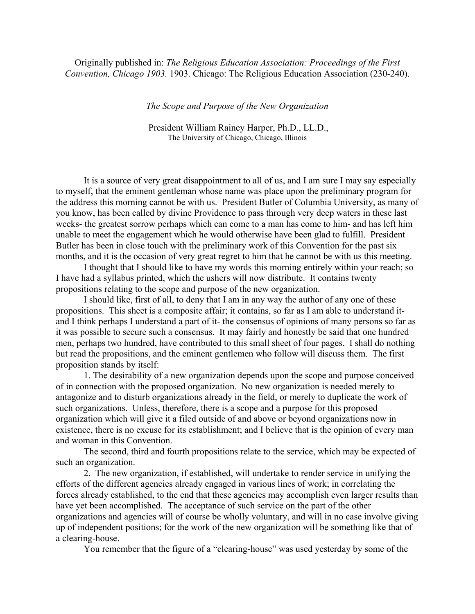Originally published in: *The Religious Education Association: Proceedings of the First Convention, Chicago 1903.* 1903. Chicago: The Religious Education Association (230-240).

*The Scope and Purpose of the New Organization*

 President William Rainey Harper, Ph.D., LL.D., The University of Chicago, Chicago, Illinois

 It is a source of very great disappointment to all of us, and I am sure I may say especially to myself, that the eminent gentleman whose name was place upon the preliminary program for the address this morning cannot be with us. President Butler of Columbia University, as many of you know, has been called by divine Providence to pass through very deep waters in these last weeks- the greatest sorrow perhaps which can come to a man has come to him- and has left him unable to meet the engagement which he would otherwise have been glad to fulfill. President Butler has been in close touch with the preliminary work of this Convention for the past six months, and it is the occasion of very great regret to him that he cannot be with us this meeting.

 I thought that I should like to have my words this morning entirely within your reach; so I have had a syllabus printed, which the ushers will now distribute. It contains twenty propositions relating to the scope and purpose of the new organization.

 I should like, first of all, to deny that I am in any way the author of any one of these propositions. This sheet is a composite affair; it contains, so far as I am able to understand itand I think perhaps I understand a part of it- the consensus of opinions of many persons so far as it was possible to secure such a consensus. It may fairly and honestly be said that one hundred men, perhaps two hundred, have contributed to this small sheet of four pages. I shall do nothing but read the propositions, and the eminent gentlemen who follow will discuss them. The first proposition stands by itself:

 1. The desirability of a new organization depends upon the scope and purpose conceived of in connection with the proposed organization. No new organization is needed merely to antagonize and to disturb organizations already in the field, or merely to duplicate the work of such organizations. Unless, therefore, there is a scope and a purpose for this proposed organization which will give it a filed outside of and above or beyond organizations now in existence, there is no excuse for its establishment; and I believe that is the opinion of every man and woman in this Convention.

 The second, third and fourth propositions relate to the service, which may be expected of such an organization.

 2. The new organization, if established, will undertake to render service in unifying the efforts of the different agencies already engaged in various lines of work; in correlating the forces already established, to the end that these agencies may accomplish even larger results than have yet been accomplished. The acceptance of such service on the part of the other organizations and agencies will of course be wholly voluntary, and will in no case involve giving up of independent positions; for the work of the new organization will be something like that of a clearing-house.

You remember that the figure of a "clearing-house" was used yesterday by some of the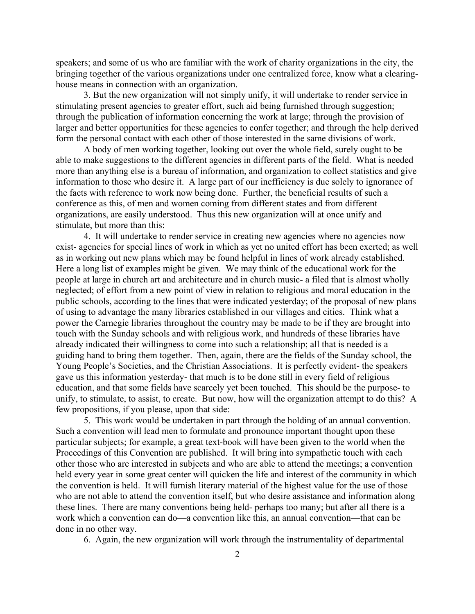speakers; and some of us who are familiar with the work of charity organizations in the city, the bringing together of the various organizations under one centralized force, know what a clearinghouse means in connection with an organization.

3. But the new organization will not simply unify, it will undertake to render service in stimulating present agencies to greater effort, such aid being furnished through suggestion; through the publication of information concerning the work at large; through the provision of larger and better opportunities for these agencies to confer together; and through the help derived form the personal contact with each other of those interested in the same divisions of work.

A body of men working together, looking out over the whole field, surely ought to be able to make suggestions to the different agencies in different parts of the field. What is needed more than anything else is a bureau of information, and organization to collect statistics and give information to those who desire it. A large part of our inefficiency is due solely to ignorance of the facts with reference to work now being done. Further, the beneficial results of such a conference as this, of men and women coming from different states and from different organizations, are easily understood. Thus this new organization will at once unify and stimulate, but more than this:

4. It will undertake to render service in creating new agencies where no agencies now exist- agencies for special lines of work in which as yet no united effort has been exerted; as well as in working out new plans which may be found helpful in lines of work already established. Here a long list of examples might be given. We may think of the educational work for the people at large in church art and architecture and in church music- a filed that is almost wholly neglected; of effort from a new point of view in relation to religious and moral education in the public schools, according to the lines that were indicated yesterday; of the proposal of new plans of using to advantage the many libraries established in our villages and cities. Think what a power the Carnegie libraries throughout the country may be made to be if they are brought into touch with the Sunday schools and with religious work, and hundreds of these libraries have already indicated their willingness to come into such a relationship; all that is needed is a guiding hand to bring them together. Then, again, there are the fields of the Sunday school, the Young People's Societies, and the Christian Associations. It is perfectly evident- the speakers gave us this information yesterday- that much is to be done still in every field of religious education, and that some fields have scarcely yet been touched. This should be the purpose- to unify, to stimulate, to assist, to create. But now, how will the organization attempt to do this? A few propositions, if you please, upon that side:

5. This work would be undertaken in part through the holding of an annual convention. Such a convention will lead men to formulate and pronounce important thought upon these particular subjects; for example, a great text-book will have been given to the world when the Proceedings of this Convention are published. It will bring into sympathetic touch with each other those who are interested in subjects and who are able to attend the meetings; a convention held every year in some great center will quicken the life and interest of the community in which the convention is held. It will furnish literary material of the highest value for the use of those who are not able to attend the convention itself, but who desire assistance and information along these lines. There are many conventions being held- perhaps too many; but after all there is a work which a convention can do—a convention like this, an annual convention—that can be done in no other way.

6. Again, the new organization will work through the instrumentality of departmental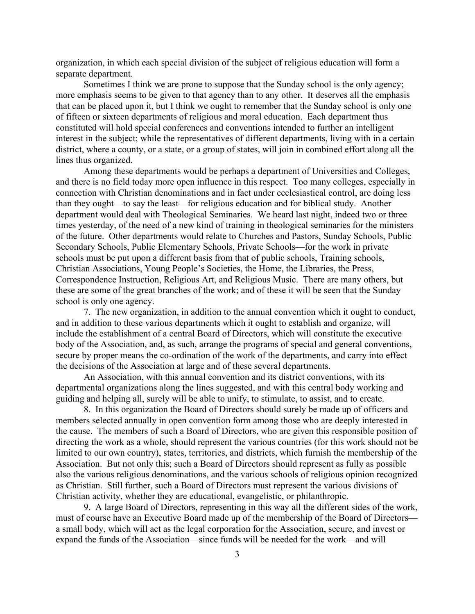organization, in which each special division of the subject of religious education will form a separate department.

Sometimes I think we are prone to suppose that the Sunday school is the only agency; more emphasis seems to be given to that agency than to any other. It deserves all the emphasis that can be placed upon it, but I think we ought to remember that the Sunday school is only one of fifteen or sixteen departments of religious and moral education. Each department thus constituted will hold special conferences and conventions intended to further an intelligent interest in the subject; while the representatives of different departments, living with in a certain district, where a county, or a state, or a group of states, will join in combined effort along all the lines thus organized.

Among these departments would be perhaps a department of Universities and Colleges, and there is no field today more open influence in this respect. Too many colleges, especially in connection with Christian denominations and in fact under ecclesiastical control, are doing less than they ought—to say the least—for religious education and for biblical study. Another department would deal with Theological Seminaries. We heard last night, indeed two or three times yesterday, of the need of a new kind of training in theological seminaries for the ministers of the future. Other departments would relate to Churches and Pastors, Sunday Schools, Public Secondary Schools, Public Elementary Schools, Private Schools—for the work in private schools must be put upon a different basis from that of public schools, Training schools, Christian Associations, Young People's Societies, the Home, the Libraries, the Press, Correspondence Instruction, Religious Art, and Religious Music. There are many others, but these are some of the great branches of the work; and of these it will be seen that the Sunday school is only one agency.

7. The new organization, in addition to the annual convention which it ought to conduct, and in addition to these various departments which it ought to establish and organize, will include the establishment of a central Board of Directors, which will constitute the executive body of the Association, and, as such, arrange the programs of special and general conventions, secure by proper means the co-ordination of the work of the departments, and carry into effect the decisions of the Association at large and of these several departments.

An Association, with this annual convention and its district conventions, with its departmental organizations along the lines suggested, and with this central body working and guiding and helping all, surely will be able to unify, to stimulate, to assist, and to create.

8. In this organization the Board of Directors should surely be made up of officers and members selected annually in open convention form among those who are deeply interested in the cause. The members of such a Board of Directors, who are given this responsible position of directing the work as a whole, should represent the various countries (for this work should not be limited to our own country), states, territories, and districts, which furnish the membership of the Association. But not only this; such a Board of Directors should represent as fully as possible also the various religious denominations, and the various schools of religious opinion recognized as Christian. Still further, such a Board of Directors must represent the various divisions of Christian activity, whether they are educational, evangelistic, or philanthropic.

9. A large Board of Directors, representing in this way all the different sides of the work, must of course have an Executive Board made up of the membership of the Board of Directors a small body, which will act as the legal corporation for the Association, secure, and invest or expand the funds of the Association—since funds will be needed for the work—and will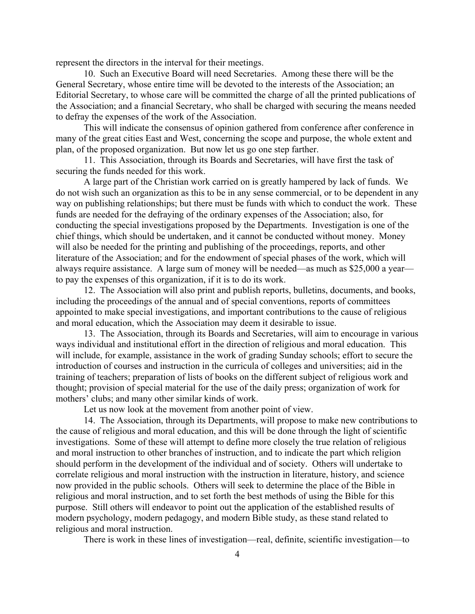represent the directors in the interval for their meetings.

10. Such an Executive Board will need Secretaries. Among these there will be the General Secretary, whose entire time will be devoted to the interests of the Association; an Editorial Secretary, to whose care will be committed the charge of all the printed publications of the Association; and a financial Secretary, who shall be charged with securing the means needed to defray the expenses of the work of the Association.

This will indicate the consensus of opinion gathered from conference after conference in many of the great cities East and West, concerning the scope and purpose, the whole extent and plan, of the proposed organization. But now let us go one step farther.

11. This Association, through its Boards and Secretaries, will have first the task of securing the funds needed for this work.

A large part of the Christian work carried on is greatly hampered by lack of funds. We do not wish such an organization as this to be in any sense commercial, or to be dependent in any way on publishing relationships; but there must be funds with which to conduct the work. These funds are needed for the defraying of the ordinary expenses of the Association; also, for conducting the special investigations proposed by the Departments. Investigation is one of the chief things, which should be undertaken, and it cannot be conducted without money. Money will also be needed for the printing and publishing of the proceedings, reports, and other literature of the Association; and for the endowment of special phases of the work, which will always require assistance. A large sum of money will be needed—as much as \$25,000 a year to pay the expenses of this organization, if it is to do its work.

12. The Association will also print and publish reports, bulletins, documents, and books, including the proceedings of the annual and of special conventions, reports of committees appointed to make special investigations, and important contributions to the cause of religious and moral education, which the Association may deem it desirable to issue.

13. The Association, through its Boards and Secretaries, will aim to encourage in various ways individual and institutional effort in the direction of religious and moral education. This will include, for example, assistance in the work of grading Sunday schools; effort to secure the introduction of courses and instruction in the curricula of colleges and universities; aid in the training of teachers; preparation of lists of books on the different subject of religious work and thought; provision of special material for the use of the daily press; organization of work for mothers' clubs; and many other similar kinds of work.

Let us now look at the movement from another point of view.

14. The Association, through its Departments, will propose to make new contributions to the cause of religious and moral education, and this will be done through the light of scientific investigations. Some of these will attempt to define more closely the true relation of religious and moral instruction to other branches of instruction, and to indicate the part which religion should perform in the development of the individual and of society. Others will undertake to correlate religious and moral instruction with the instruction in literature, history, and science now provided in the public schools. Others will seek to determine the place of the Bible in religious and moral instruction, and to set forth the best methods of using the Bible for this purpose. Still others will endeavor to point out the application of the established results of modern psychology, modern pedagogy, and modern Bible study, as these stand related to religious and moral instruction.

There is work in these lines of investigation—real, definite, scientific investigation—to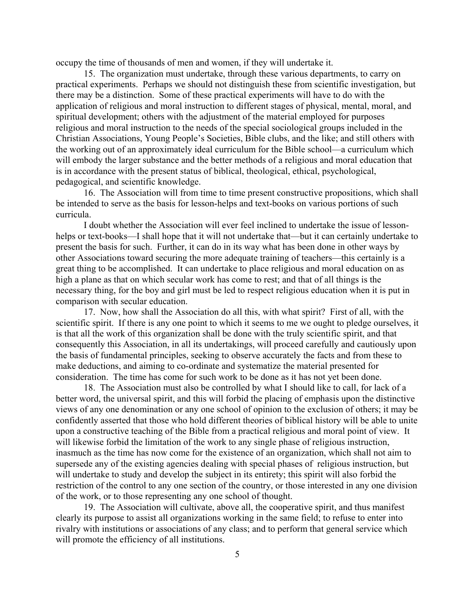occupy the time of thousands of men and women, if they will undertake it.

15. The organization must undertake, through these various departments, to carry on practical experiments. Perhaps we should not distinguish these from scientific investigation, but there may be a distinction. Some of these practical experiments will have to do with the application of religious and moral instruction to different stages of physical, mental, moral, and spiritual development; others with the adjustment of the material employed for purposes religious and moral instruction to the needs of the special sociological groups included in the Christian Associations, Young People's Societies, Bible clubs, and the like; and still others with the working out of an approximately ideal curriculum for the Bible school—a curriculum which will embody the larger substance and the better methods of a religious and moral education that is in accordance with the present status of biblical, theological, ethical, psychological, pedagogical, and scientific knowledge.

16. The Association will from time to time present constructive propositions, which shall be intended to serve as the basis for lesson-helps and text-books on various portions of such curricula.

I doubt whether the Association will ever feel inclined to undertake the issue of lessonhelps or text-books—I shall hope that it will not undertake that—but it can certainly undertake to present the basis for such. Further, it can do in its way what has been done in other ways by other Associations toward securing the more adequate training of teachers—this certainly is a great thing to be accomplished. It can undertake to place religious and moral education on as high a plane as that on which secular work has come to rest; and that of all things is the necessary thing, for the boy and girl must be led to respect religious education when it is put in comparison with secular education.

17. Now, how shall the Association do all this, with what spirit? First of all, with the scientific spirit. If there is any one point to which it seems to me we ought to pledge ourselves, it is that all the work of this organization shall be done with the truly scientific spirit, and that consequently this Association, in all its undertakings, will proceed carefully and cautiously upon the basis of fundamental principles, seeking to observe accurately the facts and from these to make deductions, and aiming to co-ordinate and systematize the material presented for consideration. The time has come for such work to be done as it has not yet been done.

18. The Association must also be controlled by what I should like to call, for lack of a better word, the universal spirit, and this will forbid the placing of emphasis upon the distinctive views of any one denomination or any one school of opinion to the exclusion of others; it may be confidently asserted that those who hold different theories of biblical history will be able to unite upon a constructive teaching of the Bible from a practical religious and moral point of view. It will likewise forbid the limitation of the work to any single phase of religious instruction, inasmuch as the time has now come for the existence of an organization, which shall not aim to supersede any of the existing agencies dealing with special phases of religious instruction, but will undertake to study and develop the subject in its entirety; this spirit will also forbid the restriction of the control to any one section of the country, or those interested in any one division of the work, or to those representing any one school of thought.

19. The Association will cultivate, above all, the cooperative spirit, and thus manifest clearly its purpose to assist all organizations working in the same field; to refuse to enter into rivalry with institutions or associations of any class; and to perform that general service which will promote the efficiency of all institutions.